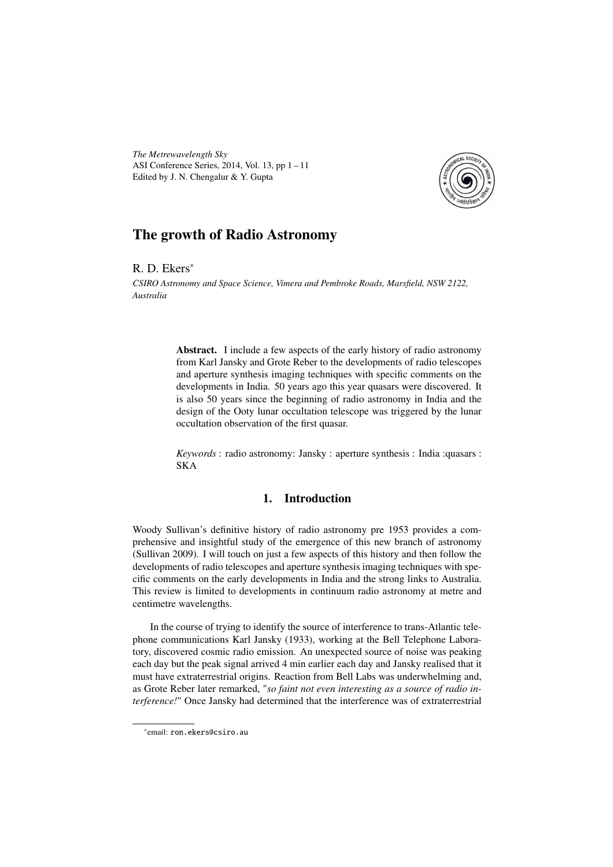*The Metrewavelength Sky* ASI Conference Series, 2014, Vol. 13, pp 1 – 11 Edited by J. N. Chengalur & Y. Gupta



# The growth of Radio Astronomy

R. D. Ekers<sup>∗</sup>

*CSIRO Astronomy and Space Science, Vimera and Pembroke Roads, Marsfield, NSW 2122, Australia*

> Abstract. I include a few aspects of the early history of radio astronomy from Karl Jansky and Grote Reber to the developments of radio telescopes and aperture synthesis imaging techniques with specific comments on the developments in India. 50 years ago this year quasars were discovered. It is also 50 years since the beginning of radio astronomy in India and the design of the Ooty lunar occultation telescope was triggered by the lunar occultation observation of the first quasar.

> *Keywords* : radio astronomy: Jansky : aperture synthesis : India :quasars : SKA

# 1. Introduction

Woody Sullivan's definitive history of radio astronomy pre 1953 provides a comprehensive and insightful study of the emergence of this new branch of astronomy (Sullivan 2009). I will touch on just a few aspects of this history and then follow the developments of radio telescopes and aperture synthesis imaging techniques with specific comments on the early developments in India and the strong links to Australia. This review is limited to developments in continuum radio astronomy at metre and centimetre wavelengths.

In the course of trying to identify the source of interference to trans-Atlantic telephone communications Karl Jansky (1933), working at the Bell Telephone Laboratory, discovered cosmic radio emission. An unexpected source of noise was peaking each day but the peak signal arrived 4 min earlier each day and Jansky realised that it must have extraterrestrial origins. Reaction from Bell Labs was underwhelming and, as Grote Reber later remarked, "*so faint not even interesting as a source of radio interference!*" Once Jansky had determined that the interference was of extraterrestrial

<sup>∗</sup> email: ron.ekers@csiro.au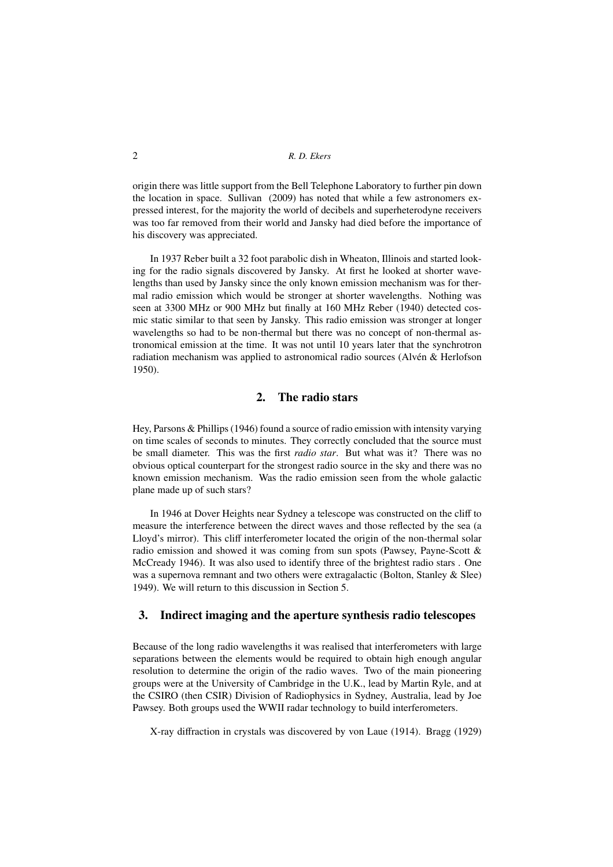origin there was little support from the Bell Telephone Laboratory to further pin down the location in space. Sullivan (2009) has noted that while a few astronomers expressed interest, for the majority the world of decibels and superheterodyne receivers was too far removed from their world and Jansky had died before the importance of his discovery was appreciated.

In 1937 Reber built a 32 foot parabolic dish in Wheaton, Illinois and started looking for the radio signals discovered by Jansky. At first he looked at shorter wavelengths than used by Jansky since the only known emission mechanism was for thermal radio emission which would be stronger at shorter wavelengths. Nothing was seen at 3300 MHz or 900 MHz but finally at 160 MHz Reber (1940) detected cosmic static similar to that seen by Jansky. This radio emission was stronger at longer wavelengths so had to be non-thermal but there was no concept of non-thermal astronomical emission at the time. It was not until 10 years later that the synchrotron radiation mechanism was applied to astronomical radio sources (Alvén & Herlofson 1950).

# 2. The radio stars

Hey, Parsons & Phillips (1946) found a source of radio emission with intensity varying on time scales of seconds to minutes. They correctly concluded that the source must be small diameter. This was the first *radio star*. But what was it? There was no obvious optical counterpart for the strongest radio source in the sky and there was no known emission mechanism. Was the radio emission seen from the whole galactic plane made up of such stars?

In 1946 at Dover Heights near Sydney a telescope was constructed on the cliff to measure the interference between the direct waves and those reflected by the sea (a Lloyd's mirror). This cliff interferometer located the origin of the non-thermal solar radio emission and showed it was coming from sun spots (Pawsey, Payne-Scott & McCready 1946). It was also used to identify three of the brightest radio stars . One was a supernova remnant and two others were extragalactic (Bolton, Stanley & Slee) 1949). We will return to this discussion in Section 5.

### 3. Indirect imaging and the aperture synthesis radio telescopes

Because of the long radio wavelengths it was realised that interferometers with large separations between the elements would be required to obtain high enough angular resolution to determine the origin of the radio waves. Two of the main pioneering groups were at the University of Cambridge in the U.K., lead by Martin Ryle, and at the CSIRO (then CSIR) Division of Radiophysics in Sydney, Australia, lead by Joe Pawsey. Both groups used the WWII radar technology to build interferometers.

X-ray diffraction in crystals was discovered by von Laue (1914). Bragg (1929)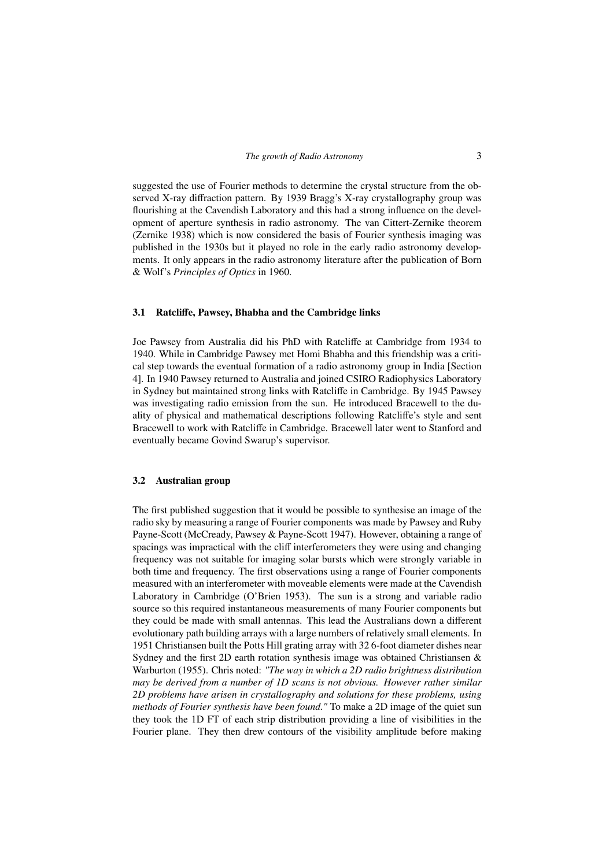suggested the use of Fourier methods to determine the crystal structure from the observed X-ray diffraction pattern. By 1939 Bragg's X-ray crystallography group was flourishing at the Cavendish Laboratory and this had a strong influence on the development of aperture synthesis in radio astronomy. The van Cittert-Zernike theorem (Zernike 1938) which is now considered the basis of Fourier synthesis imaging was published in the 1930s but it played no role in the early radio astronomy developments. It only appears in the radio astronomy literature after the publication of Born & Wolf's *Principles of Optics* in 1960.

#### 3.1 Ratcliffe, Pawsey, Bhabha and the Cambridge links

Joe Pawsey from Australia did his PhD with Ratcliffe at Cambridge from 1934 to 1940. While in Cambridge Pawsey met Homi Bhabha and this friendship was a critical step towards the eventual formation of a radio astronomy group in India [Section 4]. In 1940 Pawsey returned to Australia and joined CSIRO Radiophysics Laboratory in Sydney but maintained strong links with Ratcliffe in Cambridge. By 1945 Pawsey was investigating radio emission from the sun. He introduced Bracewell to the duality of physical and mathematical descriptions following Ratcliffe's style and sent Bracewell to work with Ratcliffe in Cambridge. Bracewell later went to Stanford and eventually became Govind Swarup's supervisor.

#### 3.2 Australian group

The first published suggestion that it would be possible to synthesise an image of the radio sky by measuring a range of Fourier components was made by Pawsey and Ruby Payne-Scott (McCready, Pawsey & Payne-Scott 1947). However, obtaining a range of spacings was impractical with the cliff interferometers they were using and changing frequency was not suitable for imaging solar bursts which were strongly variable in both time and frequency. The first observations using a range of Fourier components measured with an interferometer with moveable elements were made at the Cavendish Laboratory in Cambridge (O'Brien 1953). The sun is a strong and variable radio source so this required instantaneous measurements of many Fourier components but they could be made with small antennas. This lead the Australians down a different evolutionary path building arrays with a large numbers of relatively small elements. In 1951 Christiansen built the Potts Hill grating array with 32 6-foot diameter dishes near Sydney and the first 2D earth rotation synthesis image was obtained Christiansen & Warburton (1955). Chris noted: *"The way in which a 2D radio brightness distribution may be derived from a number of 1D scans is not obvious. However rather similar 2D problems have arisen in crystallography and solutions for these problems, using methods of Fourier synthesis have been found."* To make a 2D image of the quiet sun they took the 1D FT of each strip distribution providing a line of visibilities in the Fourier plane. They then drew contours of the visibility amplitude before making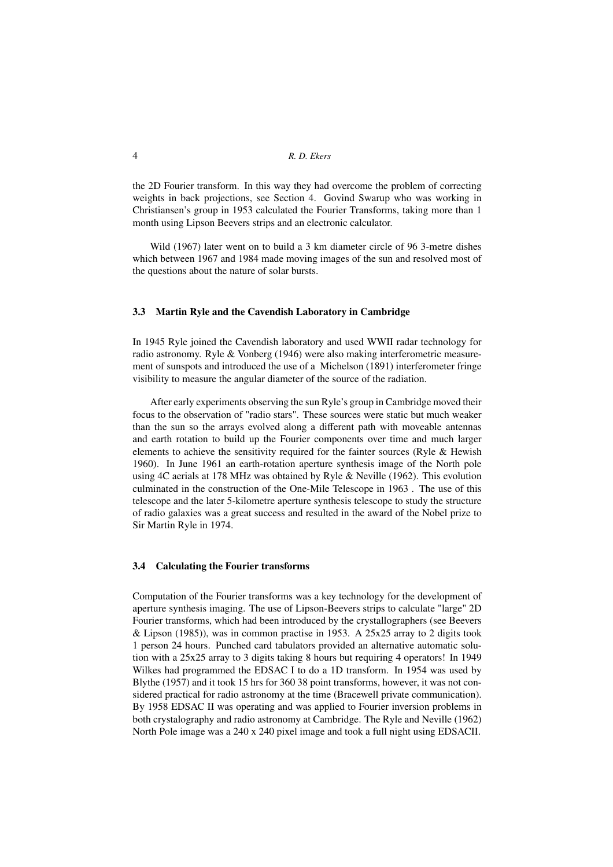the 2D Fourier transform. In this way they had overcome the problem of correcting weights in back projections, see Section 4. Govind Swarup who was working in Christiansen's group in 1953 calculated the Fourier Transforms, taking more than 1 month using Lipson Beevers strips and an electronic calculator.

Wild (1967) later went on to build a 3 km diameter circle of 96 3-metre dishes which between 1967 and 1984 made moving images of the sun and resolved most of the questions about the nature of solar bursts.

#### 3.3 Martin Ryle and the Cavendish Laboratory in Cambridge

In 1945 Ryle joined the Cavendish laboratory and used WWII radar technology for radio astronomy. Ryle & Vonberg (1946) were also making interferometric measurement of sunspots and introduced the use of a Michelson (1891) interferometer fringe visibility to measure the angular diameter of the source of the radiation.

After early experiments observing the sun Ryle's group in Cambridge moved their focus to the observation of "radio stars". These sources were static but much weaker than the sun so the arrays evolved along a different path with moveable antennas and earth rotation to build up the Fourier components over time and much larger elements to achieve the sensitivity required for the fainter sources (Ryle & Hewish 1960). In June 1961 an earth-rotation aperture synthesis image of the North pole using 4C aerials at 178 MHz was obtained by Ryle & Neville (1962). This evolution culminated in the construction of the One-Mile Telescope in 1963 . The use of this telescope and the later 5-kilometre aperture synthesis telescope to study the structure of radio galaxies was a great success and resulted in the award of the Nobel prize to Sir Martin Ryle in 1974.

### 3.4 Calculating the Fourier transforms

Computation of the Fourier transforms was a key technology for the development of aperture synthesis imaging. The use of Lipson-Beevers strips to calculate "large" 2D Fourier transforms, which had been introduced by the crystallographers (see Beevers & Lipson (1985)), was in common practise in 1953. A 25x25 array to 2 digits took 1 person 24 hours. Punched card tabulators provided an alternative automatic solution with a 25x25 array to 3 digits taking 8 hours but requiring 4 operators! In 1949 Wilkes had programmed the EDSAC I to do a 1D transform. In 1954 was used by Blythe (1957) and it took 15 hrs for 360 38 point transforms, however, it was not considered practical for radio astronomy at the time (Bracewell private communication). By 1958 EDSAC II was operating and was applied to Fourier inversion problems in both crystalography and radio astronomy at Cambridge. The Ryle and Neville (1962) North Pole image was a 240 x 240 pixel image and took a full night using EDSACII.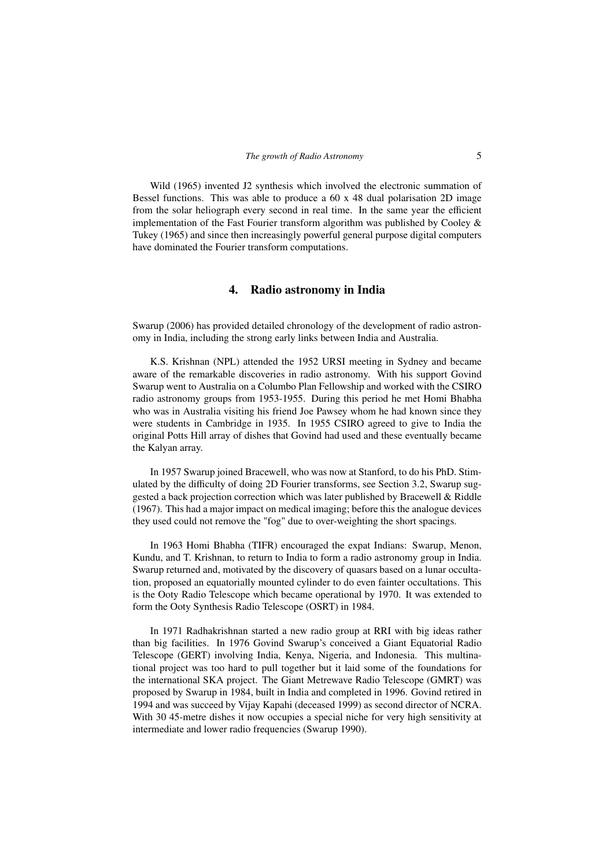Wild (1965) invented J2 synthesis which involved the electronic summation of Bessel functions. This was able to produce a 60 x 48 dual polarisation 2D image from the solar heliograph every second in real time. In the same year the efficient implementation of the Fast Fourier transform algorithm was published by Cooley  $\&$ Tukey (1965) and since then increasingly powerful general purpose digital computers have dominated the Fourier transform computations.

# 4. Radio astronomy in India

Swarup (2006) has provided detailed chronology of the development of radio astronomy in India, including the strong early links between India and Australia.

K.S. Krishnan (NPL) attended the 1952 URSI meeting in Sydney and became aware of the remarkable discoveries in radio astronomy. With his support Govind Swarup went to Australia on a Columbo Plan Fellowship and worked with the CSIRO radio astronomy groups from 1953-1955. During this period he met Homi Bhabha who was in Australia visiting his friend Joe Pawsey whom he had known since they were students in Cambridge in 1935. In 1955 CSIRO agreed to give to India the original Potts Hill array of dishes that Govind had used and these eventually became the Kalyan array.

In 1957 Swarup joined Bracewell, who was now at Stanford, to do his PhD. Stimulated by the difficulty of doing 2D Fourier transforms, see Section 3.2, Swarup suggested a back projection correction which was later published by Bracewell & Riddle (1967). This had a major impact on medical imaging; before this the analogue devices they used could not remove the "fog" due to over-weighting the short spacings.

In 1963 Homi Bhabha (TIFR) encouraged the expat Indians: Swarup, Menon, Kundu, and T. Krishnan, to return to India to form a radio astronomy group in India. Swarup returned and, motivated by the discovery of quasars based on a lunar occultation, proposed an equatorially mounted cylinder to do even fainter occultations. This is the Ooty Radio Telescope which became operational by 1970. It was extended to form the Ooty Synthesis Radio Telescope (OSRT) in 1984.

In 1971 Radhakrishnan started a new radio group at RRI with big ideas rather than big facilities. In 1976 Govind Swarup's conceived a Giant Equatorial Radio Telescope (GERT) involving India, Kenya, Nigeria, and Indonesia. This multinational project was too hard to pull together but it laid some of the foundations for the international SKA project. The Giant Metrewave Radio Telescope (GMRT) was proposed by Swarup in 1984, built in India and completed in 1996. Govind retired in 1994 and was succeed by Vijay Kapahi (deceased 1999) as second director of NCRA. With 30 45-metre dishes it now occupies a special niche for very high sensitivity at intermediate and lower radio frequencies (Swarup 1990).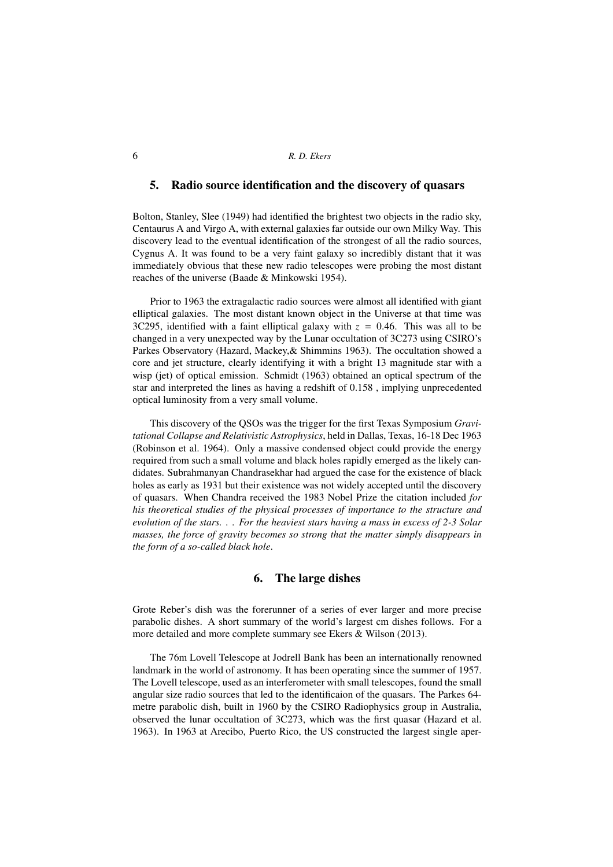### 6 *R. D. Ekers*

# 5. Radio source identification and the discovery of quasars

Bolton, Stanley, Slee (1949) had identified the brightest two objects in the radio sky, Centaurus A and Virgo A, with external galaxies far outside our own Milky Way. This discovery lead to the eventual identification of the strongest of all the radio sources, Cygnus A. It was found to be a very faint galaxy so incredibly distant that it was immediately obvious that these new radio telescopes were probing the most distant reaches of the universe (Baade & Minkowski 1954).

Prior to 1963 the extragalactic radio sources were almost all identified with giant elliptical galaxies. The most distant known object in the Universe at that time was 3C295, identified with a faint elliptical galaxy with  $z = 0.46$ . This was all to be changed in a very unexpected way by the Lunar occultation of 3C273 using CSIRO's Parkes Observatory (Hazard, Mackey,& Shimmins 1963). The occultation showed a core and jet structure, clearly identifying it with a bright 13 magnitude star with a wisp (jet) of optical emission. Schmidt (1963) obtained an optical spectrum of the star and interpreted the lines as having a redshift of 0.158 , implying unprecedented optical luminosity from a very small volume.

This discovery of the QSOs was the trigger for the first Texas Symposium *Gravitational Collapse and Relativistic Astrophysics*, held in Dallas, Texas, 16-18 Dec 1963 (Robinson et al. 1964). Only a massive condensed object could provide the energy required from such a small volume and black holes rapidly emerged as the likely candidates. Subrahmanyan Chandrasekhar had argued the case for the existence of black holes as early as 1931 but their existence was not widely accepted until the discovery of quasars. When Chandra received the 1983 Nobel Prize the citation included *for his theoretical studies of the physical processes of importance to the structure and evolution of the stars. . . For the heaviest stars having a mass in excess of 2-3 Solar masses, the force of gravity becomes so strong that the matter simply disappears in the form of a so-called black hole*.

### 6. The large dishes

Grote Reber's dish was the forerunner of a series of ever larger and more precise parabolic dishes. A short summary of the world's largest cm dishes follows. For a more detailed and more complete summary see Ekers & Wilson (2013).

The 76m Lovell Telescope at Jodrell Bank has been an internationally renowned landmark in the world of astronomy. It has been operating since the summer of 1957. The Lovell telescope, used as an interferometer with small telescopes, found the small angular size radio sources that led to the identificaion of the quasars. The Parkes 64 metre parabolic dish, built in 1960 by the CSIRO Radiophysics group in Australia, observed the lunar occultation of 3C273, which was the first quasar (Hazard et al. 1963). In 1963 at Arecibo, Puerto Rico, the US constructed the largest single aper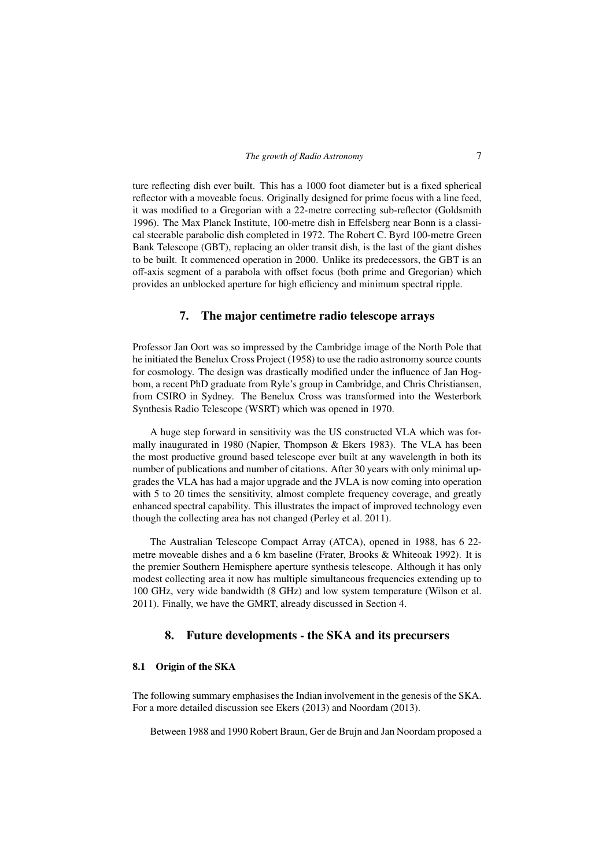ture reflecting dish ever built. This has a 1000 foot diameter but is a fixed spherical reflector with a moveable focus. Originally designed for prime focus with a line feed, it was modified to a Gregorian with a 22-metre correcting sub-reflector (Goldsmith 1996). The Max Planck Institute, 100-metre dish in Effelsberg near Bonn is a classical steerable parabolic dish completed in 1972. The Robert C. Byrd 100-metre Green Bank Telescope (GBT), replacing an older transit dish, is the last of the giant dishes to be built. It commenced operation in 2000. Unlike its predecessors, the GBT is an off-axis segment of a parabola with offset focus (both prime and Gregorian) which provides an unblocked aperture for high efficiency and minimum spectral ripple.

### 7. The major centimetre radio telescope arrays

Professor Jan Oort was so impressed by the Cambridge image of the North Pole that he initiated the Benelux Cross Project (1958) to use the radio astronomy source counts for cosmology. The design was drastically modified under the influence of Jan Hogbom, a recent PhD graduate from Ryle's group in Cambridge, and Chris Christiansen, from CSIRO in Sydney. The Benelux Cross was transformed into the Westerbork Synthesis Radio Telescope (WSRT) which was opened in 1970.

A huge step forward in sensitivity was the US constructed VLA which was formally inaugurated in 1980 (Napier, Thompson & Ekers 1983). The VLA has been the most productive ground based telescope ever built at any wavelength in both its number of publications and number of citations. After 30 years with only minimal upgrades the VLA has had a major upgrade and the JVLA is now coming into operation with 5 to 20 times the sensitivity, almost complete frequency coverage, and greatly enhanced spectral capability. This illustrates the impact of improved technology even though the collecting area has not changed (Perley et al. 2011).

The Australian Telescope Compact Array (ATCA), opened in 1988, has 6 22 metre moveable dishes and a 6 km baseline (Frater, Brooks & Whiteoak 1992). It is the premier Southern Hemisphere aperture synthesis telescope. Although it has only modest collecting area it now has multiple simultaneous frequencies extending up to 100 GHz, very wide bandwidth (8 GHz) and low system temperature (Wilson et al. 2011). Finally, we have the GMRT, already discussed in Section 4.

### 8. Future developments - the SKA and its precursers

### 8.1 Origin of the SKA

The following summary emphasises the Indian involvement in the genesis of the SKA. For a more detailed discussion see Ekers (2013) and Noordam (2013).

Between 1988 and 1990 Robert Braun, Ger de Brujn and Jan Noordam proposed a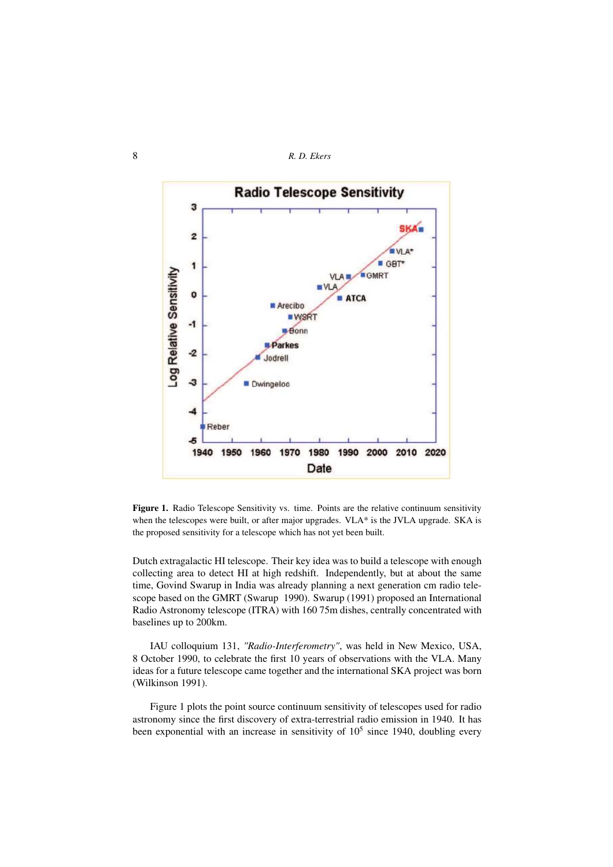8 *R. D. Ekers*



Figure 1. Radio Telescope Sensitivity vs. time. Points are the relative continuum sensitivity when the telescopes were built, or after major upgrades. VLA\* is the JVLA upgrade. SKA is the proposed sensitivity for a telescope which has not yet been built.

Dutch extragalactic HI telescope. Their key idea was to build a telescope with enough collecting area to detect HI at high redshift. Independently, but at about the same time, Govind Swarup in India was already planning a next generation cm radio telescope based on the GMRT (Swarup 1990). Swarup (1991) proposed an International Radio Astronomy telescope (ITRA) with 160 75m dishes, centrally concentrated with baselines up to 200km.

IAU colloquium 131, *"Radio-Interferometry"*, was held in New Mexico, USA, 8 October 1990, to celebrate the first 10 years of observations with the VLA. Many ideas for a future telescope came together and the international SKA project was born (Wilkinson 1991).

Figure 1 plots the point source continuum sensitivity of telescopes used for radio astronomy since the first discovery of extra-terrestrial radio emission in 1940. It has been exponential with an increase in sensitivity of  $10<sup>5</sup>$  since 1940, doubling every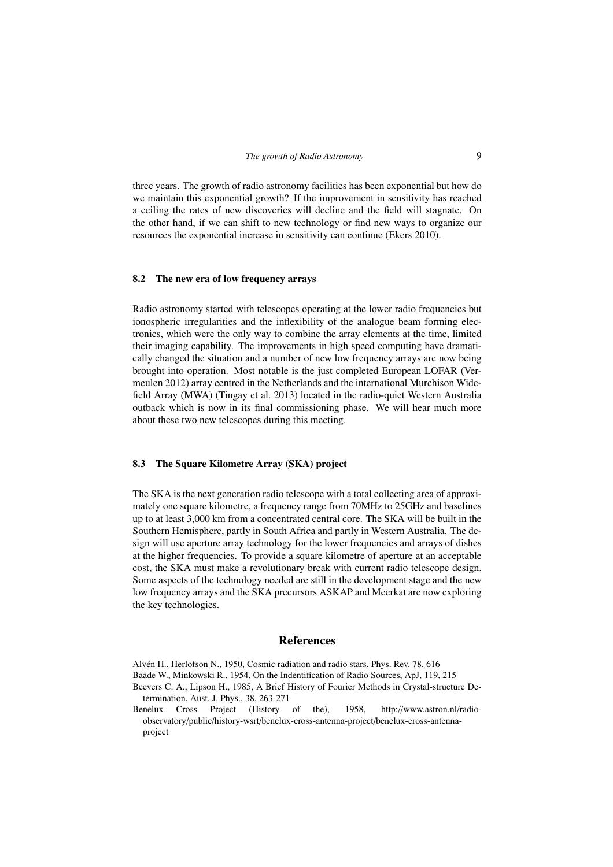three years. The growth of radio astronomy facilities has been exponential but how do we maintain this exponential growth? If the improvement in sensitivity has reached a ceiling the rates of new discoveries will decline and the field will stagnate. On the other hand, if we can shift to new technology or find new ways to organize our resources the exponential increase in sensitivity can continue (Ekers 2010).

#### 8.2 The new era of low frequency arrays

Radio astronomy started with telescopes operating at the lower radio frequencies but ionospheric irregularities and the inflexibility of the analogue beam forming electronics, which were the only way to combine the array elements at the time, limited their imaging capability. The improvements in high speed computing have dramatically changed the situation and a number of new low frequency arrays are now being brought into operation. Most notable is the just completed European LOFAR (Vermeulen 2012) array centred in the Netherlands and the international Murchison Widefield Array (MWA) (Tingay et al. 2013) located in the radio-quiet Western Australia outback which is now in its final commissioning phase. We will hear much more about these two new telescopes during this meeting.

#### 8.3 The Square Kilometre Array (SKA) project

The SKA is the next generation radio telescope with a total collecting area of approximately one square kilometre, a frequency range from 70MHz to 25GHz and baselines up to at least 3,000 km from a concentrated central core. The SKA will be built in the Southern Hemisphere, partly in South Africa and partly in Western Australia. The design will use aperture array technology for the lower frequencies and arrays of dishes at the higher frequencies. To provide a square kilometre of aperture at an acceptable cost, the SKA must make a revolutionary break with current radio telescope design. Some aspects of the technology needed are still in the development stage and the new low frequency arrays and the SKA precursors ASKAP and Meerkat are now exploring the key technologies.

### References

Alvén H., Herlofson N., 1950, Cosmic radiation and radio stars, Phys. Rev. 78, 616

- Baade W., Minkowski R., 1954, On the Indentification of Radio Sources, ApJ, 119, 215
- Beevers C. A., Lipson H., 1985, A Brief History of Fourier Methods in Crystal-structure Determination, Aust. J. Phys., 38, 263-271
- Benelux Cross Project (History of the), 1958, http://www.astron.nl/radioobservatory/public/history-wsrt/benelux-cross-antenna-project/benelux-cross-antennaproject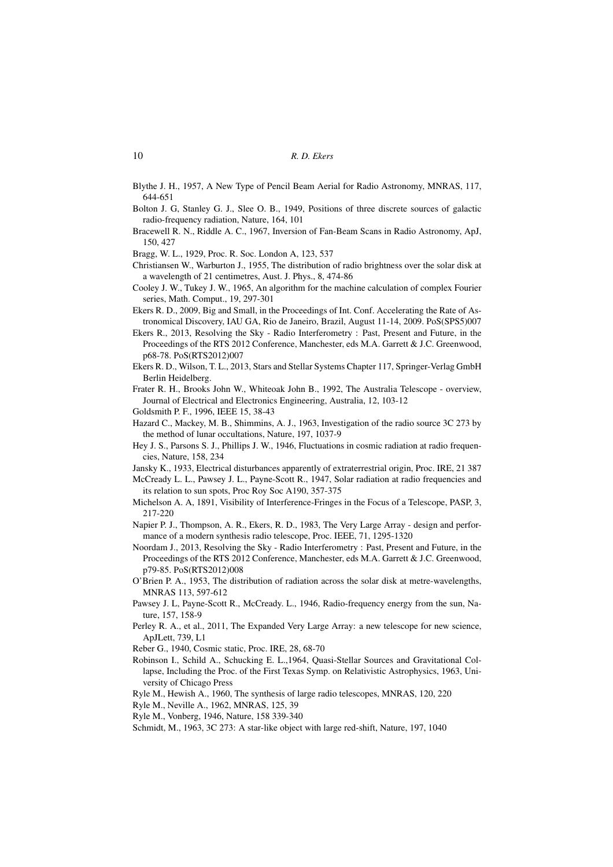Blythe J. H., 1957, A New Type of Pencil Beam Aerial for Radio Astronomy, MNRAS, 117, 644-651

- Bolton J. G, Stanley G. J., Slee O. B., 1949, Positions of three discrete sources of galactic radio-frequency radiation, Nature, 164, 101
- Bracewell R. N., Riddle A. C., 1967, Inversion of Fan-Beam Scans in Radio Astronomy, ApJ, 150, 427

Bragg, W. L., 1929, Proc. R. Soc. London A, 123, 537

- Christiansen W., Warburton J., 1955, The distribution of radio brightness over the solar disk at a wavelength of 21 centimetres, Aust. J. Phys., 8, 474-86
- Cooley J. W., Tukey J. W., 1965, An algorithm for the machine calculation of complex Fourier series, Math. Comput., 19, 297-301

Ekers R. D., 2009, Big and Small, in the Proceedings of Int. Conf. Accelerating the Rate of Astronomical Discovery, IAU GA, Rio de Janeiro, Brazil, August 11-14, 2009. PoS(SPS5)007

Ekers R., 2013, Resolving the Sky - Radio Interferometry : Past, Present and Future, in the Proceedings of the RTS 2012 Conference, Manchester, eds M.A. Garrett & J.C. Greenwood, p68-78. PoS(RTS2012)007

Ekers R. D., Wilson, T. L., 2013, Stars and Stellar Systems Chapter 117, Springer-Verlag GmbH Berlin Heidelberg.

Frater R. H., Brooks John W., Whiteoak John B., 1992, The Australia Telescope - overview, Journal of Electrical and Electronics Engineering, Australia, 12, 103-12

Goldsmith P. F., 1996, IEEE 15, 38-43

- Hazard C., Mackey, M. B., Shimmins, A. J., 1963, Investigation of the radio source 3C 273 by the method of lunar occultations, Nature, 197, 1037-9
- Hey J. S., Parsons S. J., Phillips J. W., 1946, Fluctuations in cosmic radiation at radio frequencies, Nature, 158, 234
- Jansky K., 1933, Electrical disturbances apparently of extraterrestrial origin, Proc. IRE, 21 387
- McCready L. L., Pawsey J. L., Payne-Scott R., 1947, Solar radiation at radio frequencies and its relation to sun spots, Proc Roy Soc A190, 357-375
- Michelson A. A, 1891, Visibility of Interference-Fringes in the Focus of a Telescope, PASP, 3, 217-220
- Napier P. J., Thompson, A. R., Ekers, R. D., 1983, The Very Large Array design and performance of a modern synthesis radio telescope, Proc. IEEE, 71, 1295-1320
- Noordam J., 2013, Resolving the Sky Radio Interferometry : Past, Present and Future, in the Proceedings of the RTS 2012 Conference, Manchester, eds M.A. Garrett & J.C. Greenwood, p79-85. PoS(RTS2012)008
- O'Brien P. A., 1953, The distribution of radiation across the solar disk at metre-wavelengths, MNRAS 113, 597-612
- Pawsey J. L, Payne-Scott R., McCready. L., 1946, Radio-frequency energy from the sun, Nature, 157, 158-9
- Perley R. A., et al., 2011, The Expanded Very Large Array: a new telescope for new science, ApJLett, 739, L1
- Reber G., 1940, Cosmic static, Proc. IRE, 28, 68-70
- Robinson I., Schild A., Schucking E. L.,1964, Quasi-Stellar Sources and Gravitational Collapse, Including the Proc. of the First Texas Symp. on Relativistic Astrophysics, 1963, University of Chicago Press
- Ryle M., Hewish A., 1960, The synthesis of large radio telescopes, MNRAS, 120, 220
- Ryle M., Neville A., 1962, MNRAS, 125, 39
- Ryle M., Vonberg, 1946, Nature, 158 339-340
- Schmidt, M., 1963, 3C 273: A star-like object with large red-shift, Nature, 197, 1040